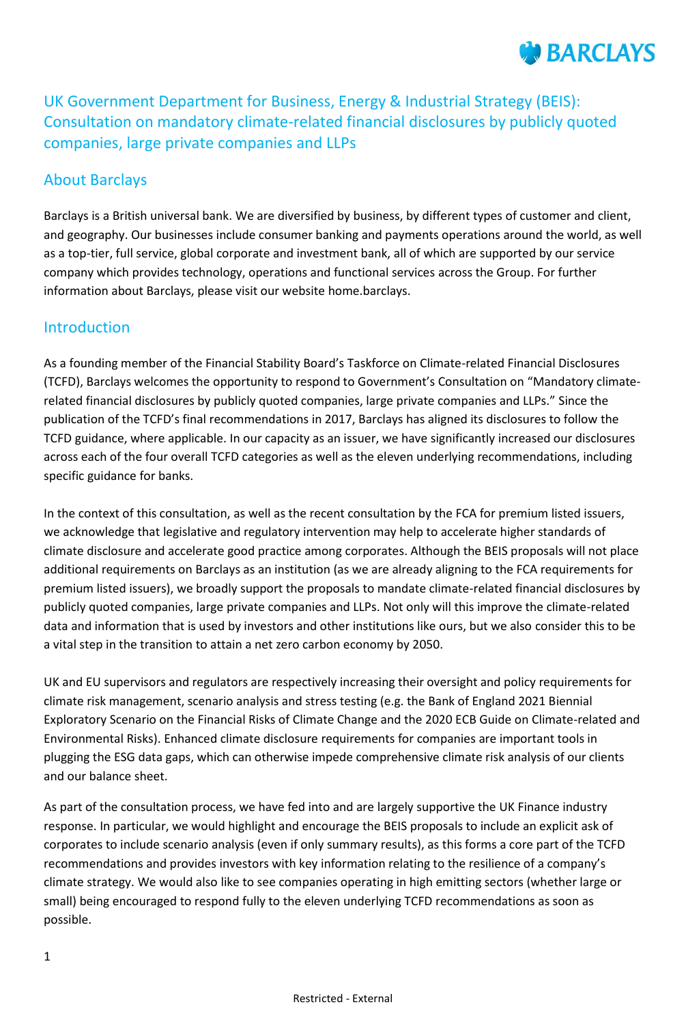# **BARCLAYS**

UK Government Department for Business, Energy & Industrial Strategy (BEIS): Consultation on mandatory climate-related financial disclosures by publicly quoted companies, large private companies and LLPs

### About Barclays

Barclays is a British universal bank. We are diversified by business, by different types of customer and client, and geography. Our businesses include consumer banking and payments operations around the world, as well as a top-tier, full service, global corporate and investment bank, all of which are supported by our service company which provides technology, operations and functional services across the Group. For further information about Barclays, please visit our website home.barclays.

#### Introduction

As a founding member of the Financial Stability Board's Taskforce on Climate-related Financial Disclosures (TCFD), Barclays welcomes the opportunity to respond to Government's Consultation on "Mandatory climaterelated financial disclosures by publicly quoted companies, large private companies and LLPs." Since the publication of the TCFD's final recommendations in 2017, Barclays has aligned its disclosures to follow the TCFD guidance, where applicable. In our capacity as an issuer, we have significantly increased our disclosures across each of the four overall TCFD categories as well as the eleven underlying recommendations, including specific guidance for banks.

In the context of this consultation, as well as the recent consultation by the FCA for premium listed issuers, we acknowledge that legislative and regulatory intervention may help to accelerate higher standards of climate disclosure and accelerate good practice among corporates. Although the BEIS proposals will not place additional requirements on Barclays as an institution (as we are already aligning to the FCA requirements for premium listed issuers), we broadly support the proposals to mandate climate-related financial disclosures by publicly quoted companies, large private companies and LLPs. Not only will this improve the climate-related data and information that is used by investors and other institutions like ours, but we also consider this to be a vital step in the transition to attain a net zero carbon economy by 2050.

UK and EU supervisors and regulators are respectively increasing their oversight and policy requirements for climate risk management, scenario analysis and stress testing (e.g. the Bank of England 2021 Biennial Exploratory Scenario on the Financial Risks of Climate Change and the 2020 ECB Guide on Climate-related and Environmental Risks). Enhanced climate disclosure requirements for companies are important tools in plugging the ESG data gaps, which can otherwise impede comprehensive climate risk analysis of our clients and our balance sheet.

As part of the consultation process, we have fed into and are largely supportive the UK Finance industry response. In particular, we would highlight and encourage the BEIS proposals to include an explicit ask of corporates to include scenario analysis (even if only summary results), as this forms a core part of the TCFD recommendations and provides investors with key information relating to the resilience of a company's climate strategy. We would also like to see companies operating in high emitting sectors (whether large or small) being encouraged to respond fully to the eleven underlying TCFD recommendations as soon as possible.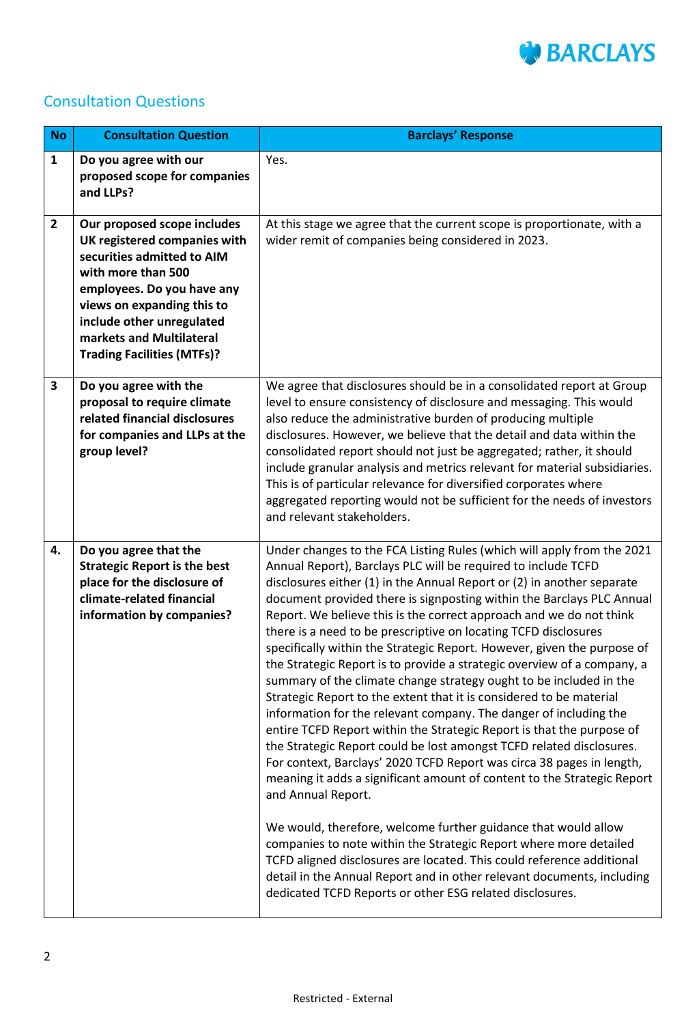

## Consultation Questions

| <b>No</b>    | <b>Consultation Question</b>                                                                                                                                                                                                                                              | <b>Barclays' Response</b>                                                                                                                                                                                                                                                                                                                                                                                                                                                                                                                                                                                                                                                                                                                                                                                                                                                                                                                                                                                                                                                                                                                                                                                                                                                                                                                                                                                                                                                                     |
|--------------|---------------------------------------------------------------------------------------------------------------------------------------------------------------------------------------------------------------------------------------------------------------------------|-----------------------------------------------------------------------------------------------------------------------------------------------------------------------------------------------------------------------------------------------------------------------------------------------------------------------------------------------------------------------------------------------------------------------------------------------------------------------------------------------------------------------------------------------------------------------------------------------------------------------------------------------------------------------------------------------------------------------------------------------------------------------------------------------------------------------------------------------------------------------------------------------------------------------------------------------------------------------------------------------------------------------------------------------------------------------------------------------------------------------------------------------------------------------------------------------------------------------------------------------------------------------------------------------------------------------------------------------------------------------------------------------------------------------------------------------------------------------------------------------|
| $\mathbf{1}$ | Do you agree with our<br>proposed scope for companies<br>and LLPs?                                                                                                                                                                                                        | Yes.                                                                                                                                                                                                                                                                                                                                                                                                                                                                                                                                                                                                                                                                                                                                                                                                                                                                                                                                                                                                                                                                                                                                                                                                                                                                                                                                                                                                                                                                                          |
| $\mathbf{2}$ | Our proposed scope includes<br>UK registered companies with<br>securities admitted to AIM<br>with more than 500<br>employees. Do you have any<br>views on expanding this to<br>include other unregulated<br>markets and Multilateral<br><b>Trading Facilities (MTFs)?</b> | At this stage we agree that the current scope is proportionate, with a<br>wider remit of companies being considered in 2023.                                                                                                                                                                                                                                                                                                                                                                                                                                                                                                                                                                                                                                                                                                                                                                                                                                                                                                                                                                                                                                                                                                                                                                                                                                                                                                                                                                  |
| 3            | Do you agree with the<br>proposal to require climate<br>related financial disclosures<br>for companies and LLPs at the<br>group level?                                                                                                                                    | We agree that disclosures should be in a consolidated report at Group<br>level to ensure consistency of disclosure and messaging. This would<br>also reduce the administrative burden of producing multiple<br>disclosures. However, we believe that the detail and data within the<br>consolidated report should not just be aggregated; rather, it should<br>include granular analysis and metrics relevant for material subsidiaries.<br>This is of particular relevance for diversified corporates where<br>aggregated reporting would not be sufficient for the needs of investors<br>and relevant stakeholders.                                                                                                                                                                                                                                                                                                                                                                                                                                                                                                                                                                                                                                                                                                                                                                                                                                                                         |
| 4.           | Do you agree that the<br><b>Strategic Report is the best</b><br>place for the disclosure of<br>climate-related financial<br>information by companies?                                                                                                                     | Under changes to the FCA Listing Rules (which will apply from the 2021<br>Annual Report), Barclays PLC will be required to include TCFD<br>disclosures either (1) in the Annual Report or (2) in another separate<br>document provided there is signposting within the Barclays PLC Annual<br>Report. We believe this is the correct approach and we do not think<br>there is a need to be prescriptive on locating TCFD disclosures<br>specifically within the Strategic Report. However, given the purpose of<br>the Strategic Report is to provide a strategic overview of a company, a<br>summary of the climate change strategy ought to be included in the<br>Strategic Report to the extent that it is considered to be material<br>information for the relevant company. The danger of including the<br>entire TCFD Report within the Strategic Report is that the purpose of<br>the Strategic Report could be lost amongst TCFD related disclosures.<br>For context, Barclays' 2020 TCFD Report was circa 38 pages in length,<br>meaning it adds a significant amount of content to the Strategic Report<br>and Annual Report.<br>We would, therefore, welcome further guidance that would allow<br>companies to note within the Strategic Report where more detailed<br>TCFD aligned disclosures are located. This could reference additional<br>detail in the Annual Report and in other relevant documents, including<br>dedicated TCFD Reports or other ESG related disclosures. |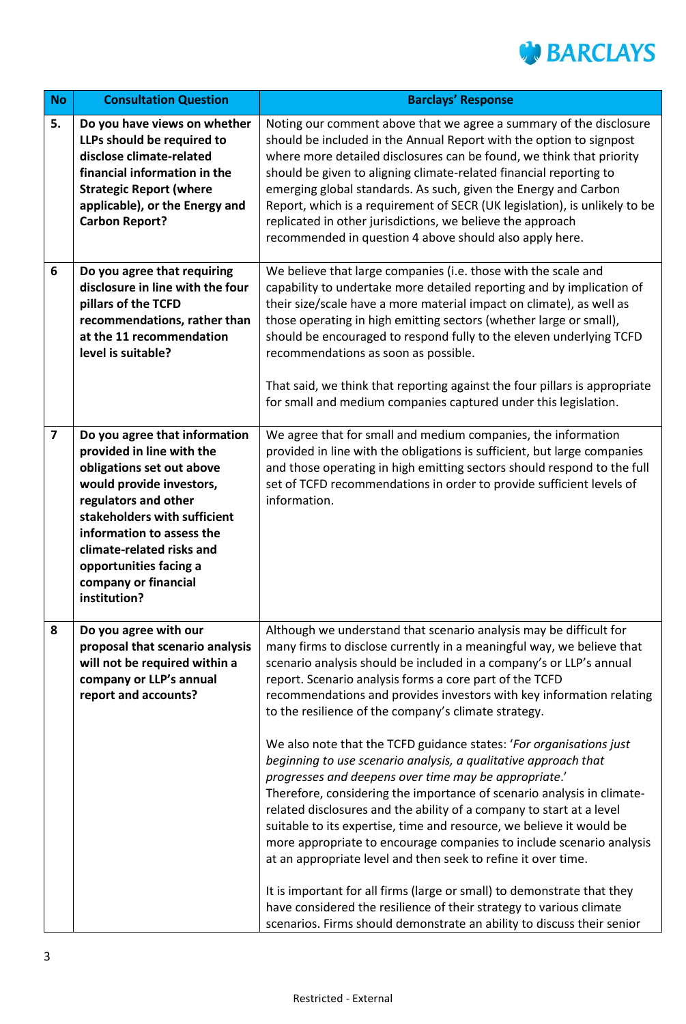

| <b>No</b>               | <b>Consultation Question</b>                                                                                                                                                                                                                                                                            | <b>Barclays' Response</b>                                                                                                                                                                                                                                                                                                                                                                                                                                                                                                                                                                                                                                                                                                                                                                                                                                                                                                                                                                                                                                                                                                                                                                                       |
|-------------------------|---------------------------------------------------------------------------------------------------------------------------------------------------------------------------------------------------------------------------------------------------------------------------------------------------------|-----------------------------------------------------------------------------------------------------------------------------------------------------------------------------------------------------------------------------------------------------------------------------------------------------------------------------------------------------------------------------------------------------------------------------------------------------------------------------------------------------------------------------------------------------------------------------------------------------------------------------------------------------------------------------------------------------------------------------------------------------------------------------------------------------------------------------------------------------------------------------------------------------------------------------------------------------------------------------------------------------------------------------------------------------------------------------------------------------------------------------------------------------------------------------------------------------------------|
| 5.                      | Do you have views on whether<br>LLPs should be required to<br>disclose climate-related<br>financial information in the<br><b>Strategic Report (where</b><br>applicable), or the Energy and<br><b>Carbon Report?</b>                                                                                     | Noting our comment above that we agree a summary of the disclosure<br>should be included in the Annual Report with the option to signpost<br>where more detailed disclosures can be found, we think that priority<br>should be given to aligning climate-related financial reporting to<br>emerging global standards. As such, given the Energy and Carbon<br>Report, which is a requirement of SECR (UK legislation), is unlikely to be<br>replicated in other jurisdictions, we believe the approach<br>recommended in question 4 above should also apply here.                                                                                                                                                                                                                                                                                                                                                                                                                                                                                                                                                                                                                                               |
| 6                       | Do you agree that requiring<br>disclosure in line with the four<br>pillars of the TCFD<br>recommendations, rather than<br>at the 11 recommendation<br>level is suitable?                                                                                                                                | We believe that large companies (i.e. those with the scale and<br>capability to undertake more detailed reporting and by implication of<br>their size/scale have a more material impact on climate), as well as<br>those operating in high emitting sectors (whether large or small),<br>should be encouraged to respond fully to the eleven underlying TCFD<br>recommendations as soon as possible.<br>That said, we think that reporting against the four pillars is appropriate<br>for small and medium companies captured under this legislation.                                                                                                                                                                                                                                                                                                                                                                                                                                                                                                                                                                                                                                                           |
| $\overline{\mathbf{z}}$ | Do you agree that information<br>provided in line with the<br>obligations set out above<br>would provide investors,<br>regulators and other<br>stakeholders with sufficient<br>information to assess the<br>climate-related risks and<br>opportunities facing a<br>company or financial<br>institution? | We agree that for small and medium companies, the information<br>provided in line with the obligations is sufficient, but large companies<br>and those operating in high emitting sectors should respond to the full<br>set of TCFD recommendations in order to provide sufficient levels of<br>information.                                                                                                                                                                                                                                                                                                                                                                                                                                                                                                                                                                                                                                                                                                                                                                                                                                                                                                    |
| 8                       | Do you agree with our<br>proposal that scenario analysis<br>will not be required within a<br>company or LLP's annual<br>report and accounts?                                                                                                                                                            | Although we understand that scenario analysis may be difficult for<br>many firms to disclose currently in a meaningful way, we believe that<br>scenario analysis should be included in a company's or LLP's annual<br>report. Scenario analysis forms a core part of the TCFD<br>recommendations and provides investors with key information relating<br>to the resilience of the company's climate strategy.<br>We also note that the TCFD guidance states: 'For organisations just<br>beginning to use scenario analysis, a qualitative approach that<br>progresses and deepens over time may be appropriate.'<br>Therefore, considering the importance of scenario analysis in climate-<br>related disclosures and the ability of a company to start at a level<br>suitable to its expertise, time and resource, we believe it would be<br>more appropriate to encourage companies to include scenario analysis<br>at an appropriate level and then seek to refine it over time.<br>It is important for all firms (large or small) to demonstrate that they<br>have considered the resilience of their strategy to various climate<br>scenarios. Firms should demonstrate an ability to discuss their senior |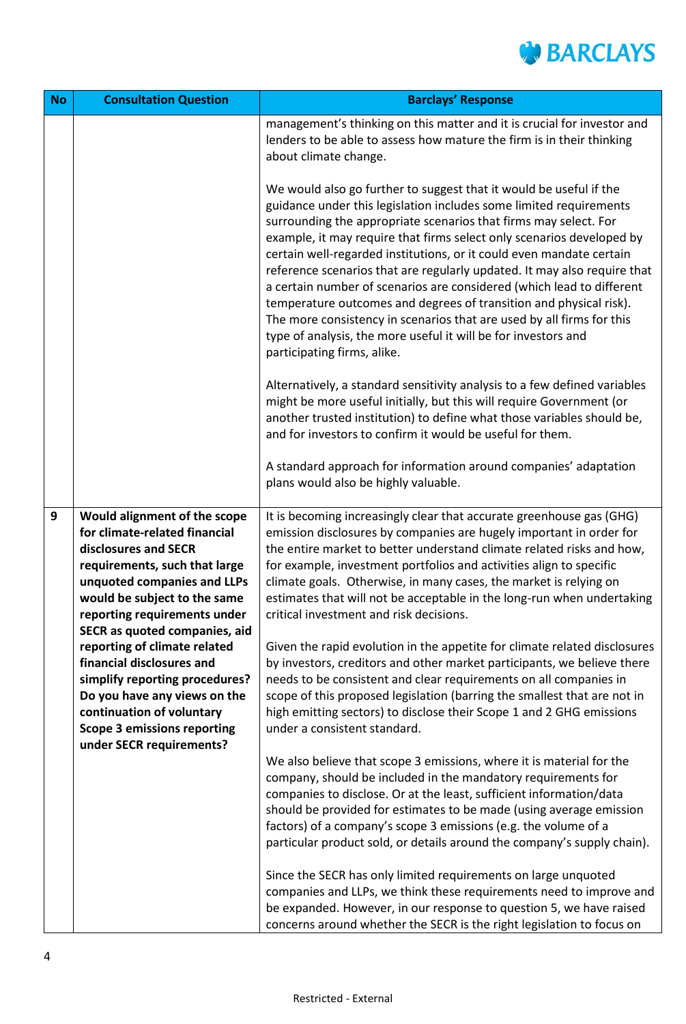

| <b>No</b>        | <b>Consultation Question</b>                                                                                                                                                                                                                                | <b>Barclays' Response</b>                                                                                                                                                                                                                                                                                                                                                                                                                                                                                                                                                                                                                                                                                                                                          |
|------------------|-------------------------------------------------------------------------------------------------------------------------------------------------------------------------------------------------------------------------------------------------------------|--------------------------------------------------------------------------------------------------------------------------------------------------------------------------------------------------------------------------------------------------------------------------------------------------------------------------------------------------------------------------------------------------------------------------------------------------------------------------------------------------------------------------------------------------------------------------------------------------------------------------------------------------------------------------------------------------------------------------------------------------------------------|
|                  |                                                                                                                                                                                                                                                             | management's thinking on this matter and it is crucial for investor and<br>lenders to be able to assess how mature the firm is in their thinking<br>about climate change.                                                                                                                                                                                                                                                                                                                                                                                                                                                                                                                                                                                          |
|                  |                                                                                                                                                                                                                                                             | We would also go further to suggest that it would be useful if the<br>guidance under this legislation includes some limited requirements<br>surrounding the appropriate scenarios that firms may select. For<br>example, it may require that firms select only scenarios developed by<br>certain well-regarded institutions, or it could even mandate certain<br>reference scenarios that are regularly updated. It may also require that<br>a certain number of scenarios are considered (which lead to different<br>temperature outcomes and degrees of transition and physical risk).<br>The more consistency in scenarios that are used by all firms for this<br>type of analysis, the more useful it will be for investors and<br>participating firms, alike. |
|                  |                                                                                                                                                                                                                                                             | Alternatively, a standard sensitivity analysis to a few defined variables<br>might be more useful initially, but this will require Government (or<br>another trusted institution) to define what those variables should be,<br>and for investors to confirm it would be useful for them.                                                                                                                                                                                                                                                                                                                                                                                                                                                                           |
|                  |                                                                                                                                                                                                                                                             | A standard approach for information around companies' adaptation<br>plans would also be highly valuable.                                                                                                                                                                                                                                                                                                                                                                                                                                                                                                                                                                                                                                                           |
| $\boldsymbol{9}$ | Would alignment of the scope<br>for climate-related financial<br>disclosures and SECR<br>requirements, such that large<br>unquoted companies and LLPs<br>would be subject to the same<br>reporting requirements under                                       | It is becoming increasingly clear that accurate greenhouse gas (GHG)<br>emission disclosures by companies are hugely important in order for<br>the entire market to better understand climate related risks and how,<br>for example, investment portfolios and activities align to specific<br>climate goals. Otherwise, in many cases, the market is relying on<br>estimates that will not be acceptable in the long-run when undertaking<br>critical investment and risk decisions.                                                                                                                                                                                                                                                                              |
|                  | SECR as quoted companies, aid<br>reporting of climate related<br>financial disclosures and<br>simplify reporting procedures?<br>Do you have any views on the<br>continuation of voluntary<br><b>Scope 3 emissions reporting</b><br>under SECR requirements? | Given the rapid evolution in the appetite for climate related disclosures<br>by investors, creditors and other market participants, we believe there<br>needs to be consistent and clear requirements on all companies in<br>scope of this proposed legislation (barring the smallest that are not in<br>high emitting sectors) to disclose their Scope 1 and 2 GHG emissions<br>under a consistent standard.                                                                                                                                                                                                                                                                                                                                                      |
|                  |                                                                                                                                                                                                                                                             | We also believe that scope 3 emissions, where it is material for the<br>company, should be included in the mandatory requirements for<br>companies to disclose. Or at the least, sufficient information/data<br>should be provided for estimates to be made (using average emission<br>factors) of a company's scope 3 emissions (e.g. the volume of a<br>particular product sold, or details around the company's supply chain).                                                                                                                                                                                                                                                                                                                                  |
|                  |                                                                                                                                                                                                                                                             | Since the SECR has only limited requirements on large unquoted<br>companies and LLPs, we think these requirements need to improve and<br>be expanded. However, in our response to question 5, we have raised<br>concerns around whether the SECR is the right legislation to focus on                                                                                                                                                                                                                                                                                                                                                                                                                                                                              |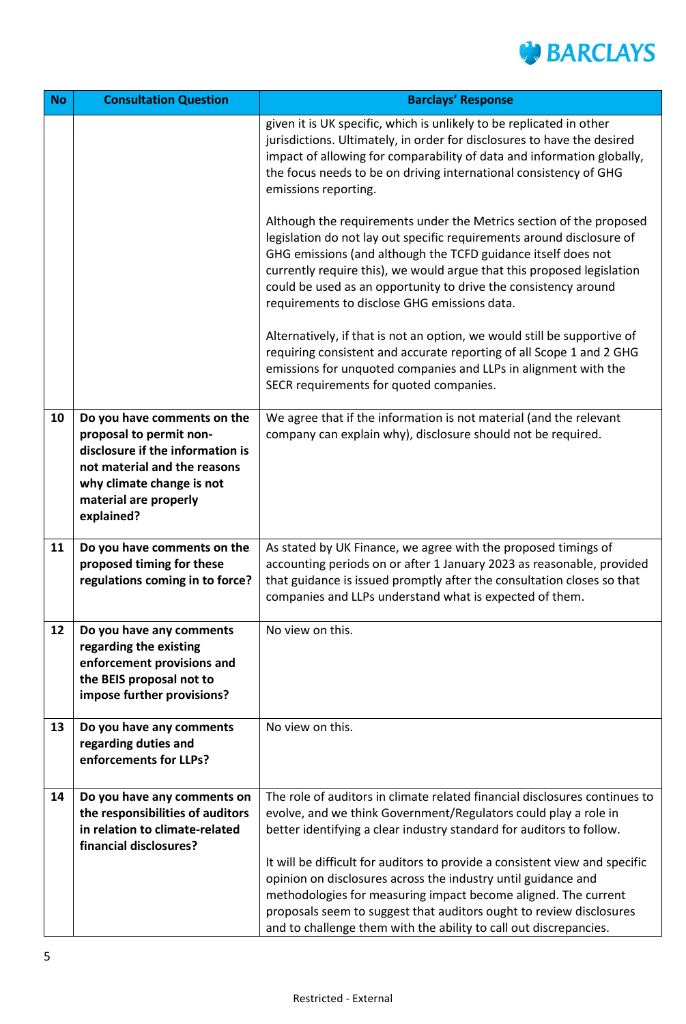

| <b>No</b> | <b>Consultation Question</b>                                                                                                                                                                   | <b>Barclays' Response</b>                                                                                                                                                                                                                                                                                                                                                                                  |
|-----------|------------------------------------------------------------------------------------------------------------------------------------------------------------------------------------------------|------------------------------------------------------------------------------------------------------------------------------------------------------------------------------------------------------------------------------------------------------------------------------------------------------------------------------------------------------------------------------------------------------------|
|           |                                                                                                                                                                                                | given it is UK specific, which is unlikely to be replicated in other<br>jurisdictions. Ultimately, in order for disclosures to have the desired<br>impact of allowing for comparability of data and information globally,<br>the focus needs to be on driving international consistency of GHG<br>emissions reporting.                                                                                     |
|           |                                                                                                                                                                                                | Although the requirements under the Metrics section of the proposed<br>legislation do not lay out specific requirements around disclosure of<br>GHG emissions (and although the TCFD guidance itself does not<br>currently require this), we would argue that this proposed legislation<br>could be used as an opportunity to drive the consistency around<br>requirements to disclose GHG emissions data. |
|           |                                                                                                                                                                                                | Alternatively, if that is not an option, we would still be supportive of<br>requiring consistent and accurate reporting of all Scope 1 and 2 GHG<br>emissions for unquoted companies and LLPs in alignment with the<br>SECR requirements for quoted companies.                                                                                                                                             |
| 10        | Do you have comments on the<br>proposal to permit non-<br>disclosure if the information is<br>not material and the reasons<br>why climate change is not<br>material are properly<br>explained? | We agree that if the information is not material (and the relevant<br>company can explain why), disclosure should not be required.                                                                                                                                                                                                                                                                         |
| 11        | Do you have comments on the<br>proposed timing for these<br>regulations coming in to force?                                                                                                    | As stated by UK Finance, we agree with the proposed timings of<br>accounting periods on or after 1 January 2023 as reasonable, provided<br>that guidance is issued promptly after the consultation closes so that<br>companies and LLPs understand what is expected of them.                                                                                                                               |
| 12        | Do you have any comments<br>regarding the existing<br>enforcement provisions and<br>the BEIS proposal not to<br>impose further provisions?                                                     | No view on this.                                                                                                                                                                                                                                                                                                                                                                                           |
| 13        | Do you have any comments<br>regarding duties and<br>enforcements for LLPs?                                                                                                                     | No view on this.                                                                                                                                                                                                                                                                                                                                                                                           |
| 14        | Do you have any comments on                                                                                                                                                                    | The role of auditors in climate related financial disclosures continues to                                                                                                                                                                                                                                                                                                                                 |
|           | the responsibilities of auditors                                                                                                                                                               | evolve, and we think Government/Regulators could play a role in                                                                                                                                                                                                                                                                                                                                            |
|           | in relation to climate-related                                                                                                                                                                 | better identifying a clear industry standard for auditors to follow.                                                                                                                                                                                                                                                                                                                                       |
|           | financial disclosures?                                                                                                                                                                         |                                                                                                                                                                                                                                                                                                                                                                                                            |
|           |                                                                                                                                                                                                | It will be difficult for auditors to provide a consistent view and specific<br>opinion on disclosures across the industry until guidance and                                                                                                                                                                                                                                                               |
|           |                                                                                                                                                                                                | methodologies for measuring impact become aligned. The current                                                                                                                                                                                                                                                                                                                                             |
|           |                                                                                                                                                                                                | proposals seem to suggest that auditors ought to review disclosures                                                                                                                                                                                                                                                                                                                                        |
|           |                                                                                                                                                                                                | and to challenge them with the ability to call out discrepancies.                                                                                                                                                                                                                                                                                                                                          |